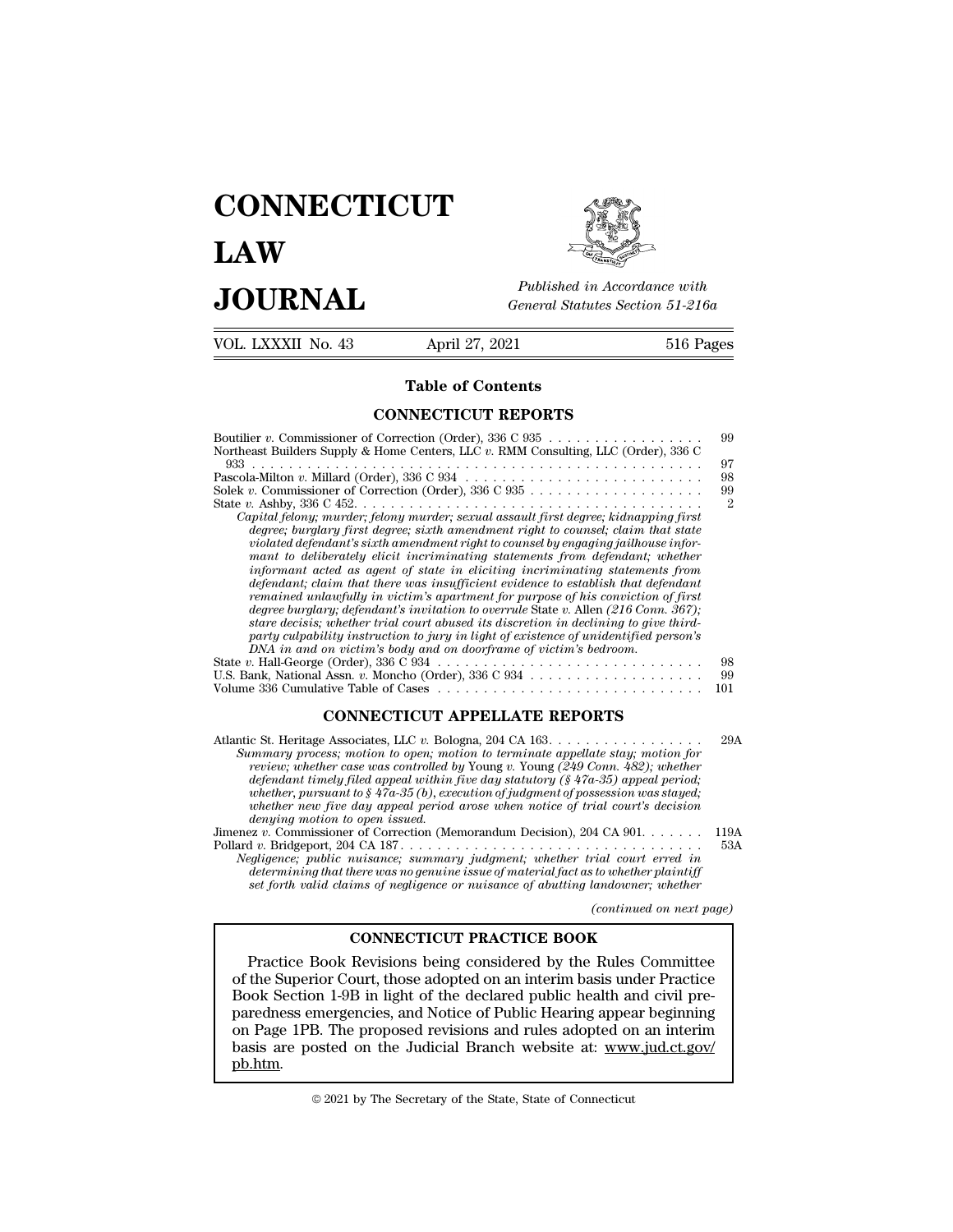# **CONNECTICUT LAW PUBLICE CONNECTICUT**<br> **Published in Accordance with**<br> **JOURNAL** *General Statutes Section 51-216a*<br> **Published in Accordance with** VOL. LXXXII No. 43 April 27, 2021 516 Pages

Published in A.<br>
General Statutes<br>
April 27, 2021<br> **Table of Contents<br>
INECTICUT REPORTS** 

| JUUKNAL            | General Statutes Section 51-216a                                                                                                                                                                                                                                                                                                                                                                                                                                                                                                                                                                                                                                                                                                                                                                                                                                                                                                                                                                                                                                                         |                                                     |
|--------------------|------------------------------------------------------------------------------------------------------------------------------------------------------------------------------------------------------------------------------------------------------------------------------------------------------------------------------------------------------------------------------------------------------------------------------------------------------------------------------------------------------------------------------------------------------------------------------------------------------------------------------------------------------------------------------------------------------------------------------------------------------------------------------------------------------------------------------------------------------------------------------------------------------------------------------------------------------------------------------------------------------------------------------------------------------------------------------------------|-----------------------------------------------------|
| VOL. LXXXII No. 43 | April 27, 2021                                                                                                                                                                                                                                                                                                                                                                                                                                                                                                                                                                                                                                                                                                                                                                                                                                                                                                                                                                                                                                                                           | 516 Pages                                           |
|                    | <b>Table of Contents</b>                                                                                                                                                                                                                                                                                                                                                                                                                                                                                                                                                                                                                                                                                                                                                                                                                                                                                                                                                                                                                                                                 |                                                     |
|                    | <b>CONNECTICUT REPORTS</b>                                                                                                                                                                                                                                                                                                                                                                                                                                                                                                                                                                                                                                                                                                                                                                                                                                                                                                                                                                                                                                                               |                                                     |
|                    | Northeast Builders Supply & Home Centers, LLC $v$ . RMM Consulting, LLC (Order), 336 C<br>Solek v. Commissioner of Correction (Order), $336 \text{ C } 935 \ldots \ldots \ldots \ldots \ldots \ldots$<br>Capital felony; murder; felony murder; sexual assault first degree; kidnapping first<br>degree; burglary first degree; sixth amendment right to counsel; claim that state<br>violated defendant's sixth amendment right to counsel by engaging jailhouse infor-<br>mant to deliberately elicit incriminating statements from defendant; whether<br>informant acted as agent of state in eliciting incriminating statements from<br>defendant; claim that there was insufficient evidence to establish that defendant<br>remained unlawfully in victim's apartment for purpose of his conviction of first<br>degree burglary; defendant's invitation to overrule State v. Allen (216 Conn. 367);<br>stare decisis; whether trial court abused its discretion in declining to give third-<br>party culpability instruction to jury in light of existence of unidentified person's | 99<br>97<br>98<br>99<br>$\mathcal{D}_{\mathcal{L}}$ |
|                    | DNA in and on victim's body and on doorframe of victim's bedroom.<br>U.S. Bank, National Assn. v. Moncho (Order), 336 C 934                                                                                                                                                                                                                                                                                                                                                                                                                                                                                                                                                                                                                                                                                                                                                                                                                                                                                                                                                              | 98<br>99<br>101                                     |
|                    | <b>CONNECTICUT APPELLATE REPORTS</b>                                                                                                                                                                                                                                                                                                                                                                                                                                                                                                                                                                                                                                                                                                                                                                                                                                                                                                                                                                                                                                                     |                                                     |
|                    | Atlantic St. Heritage Associates, LLC v. Bologna, 204 CA $163. \ldots \ldots \ldots \ldots \ldots$<br>Summary process; motion to open; motion to terminate appellate stay; motion for<br>review; whether case was controlled by Young v. Young (249 Conn. 482); whether<br>defendant timely filed ameal within five day statutory $(8.47a-35)$ ameal period:                                                                                                                                                                                                                                                                                                                                                                                                                                                                                                                                                                                                                                                                                                                             | 29A                                                 |

| U.S. Bank, National Assn. v. Moncho (Order), $336 \text{ C } 934 \ldots \ldots \ldots \ldots \ldots \ldots$                                                                                                                                                                                                                                                                                                                                                                                                                                                                           | -99         |
|---------------------------------------------------------------------------------------------------------------------------------------------------------------------------------------------------------------------------------------------------------------------------------------------------------------------------------------------------------------------------------------------------------------------------------------------------------------------------------------------------------------------------------------------------------------------------------------|-------------|
| <b>CONNECTICUT APPELLATE REPORTS</b>                                                                                                                                                                                                                                                                                                                                                                                                                                                                                                                                                  |             |
| Atlantic St. Heritage Associates, LLC v. Bologna, 204 CA $163. \ldots \ldots \ldots \ldots \ldots$<br>Summary process; motion to open; motion to terminate appellate stay; motion for<br>review; whether case was controlled by Young v. Young (249 Conn. 482); whether<br>defendant timely filed appeal within five day statutory ( $\frac{8}{4}$ 7a-35) appeal period;<br>whether, pursuant to $\S 47a-35(b)$ , execution of judgment of possession was stayed;<br>whether new five day appeal period arose when notice of trial court's decision<br>denying motion to open issued. | 29A         |
| Jimenez v. Commissioner of Correction (Memorandum Decision), 204 CA 901.<br>Negligence; public nuisance; summary judgment; whether trial court erred in<br>determining that there was no genuine issue of material fact as to whether plaintiff<br>set forth valid claims of negligence or nuisance of abutting landowner; whether                                                                                                                                                                                                                                                    | 119A<br>53A |
| (continued on next page)                                                                                                                                                                                                                                                                                                                                                                                                                                                                                                                                                              |             |

*(complement on the continued on next page)*<br>*(continued on next page)*<br>*(continued on next page)*<br>*(continued on next page)* **CONNECTICUT PRACTICE BOOK**

Practice Book Revisions being considered by the Rules Committee of the Superior Court, those adopted on an interim basis under Practice<br>determining that there was no genuine issue of material fact as to whether plaintiff<br>set forth valid claims of negligence or nuisance of abutting land set forth valid claims of negligence or nuisance of abutting landowner; whether<br>
(continued on next pa<br>
CONNECTICUT PRACTICE BOOK<br>
Practice Book Revisions being considered by the Rules Committee<br>
of the Superior Court, tho (continued on next page)<br> **CONNECTICUT PRACTICE BOOK**<br>
Practice Book Revisions being considered by the Rules Committee<br>
of the Superior Court, those adopted on an interim basis under Practice<br>
Book Section 1-9B in light of CONNECTICUT PRACTICE BOOK<br>
Practice Book Revisions being considered by the Rules Committee<br>
of the Superior Court, those adopted on an interim basis under Practice<br>
Book Section 1-9B in light of the declared public health **EXECTICUT PRACTICE BOOK**<br>
Practice Book Revisions being considered by the Rules Committee<br>
of the Superior Court, those adopted on an interim basis under Practice<br>
Book Section 1-9B in light of the declared public health pb.htm. paredness emergencies, and Notice of Public Hearing appear beginning<br>on Page 1PB. The proposed revisions and rules adopted on an interim<br>basis are posted on the Judicial Branch website at: www.jud.ct.gov/<br>pb.htm.<br>© 2021 by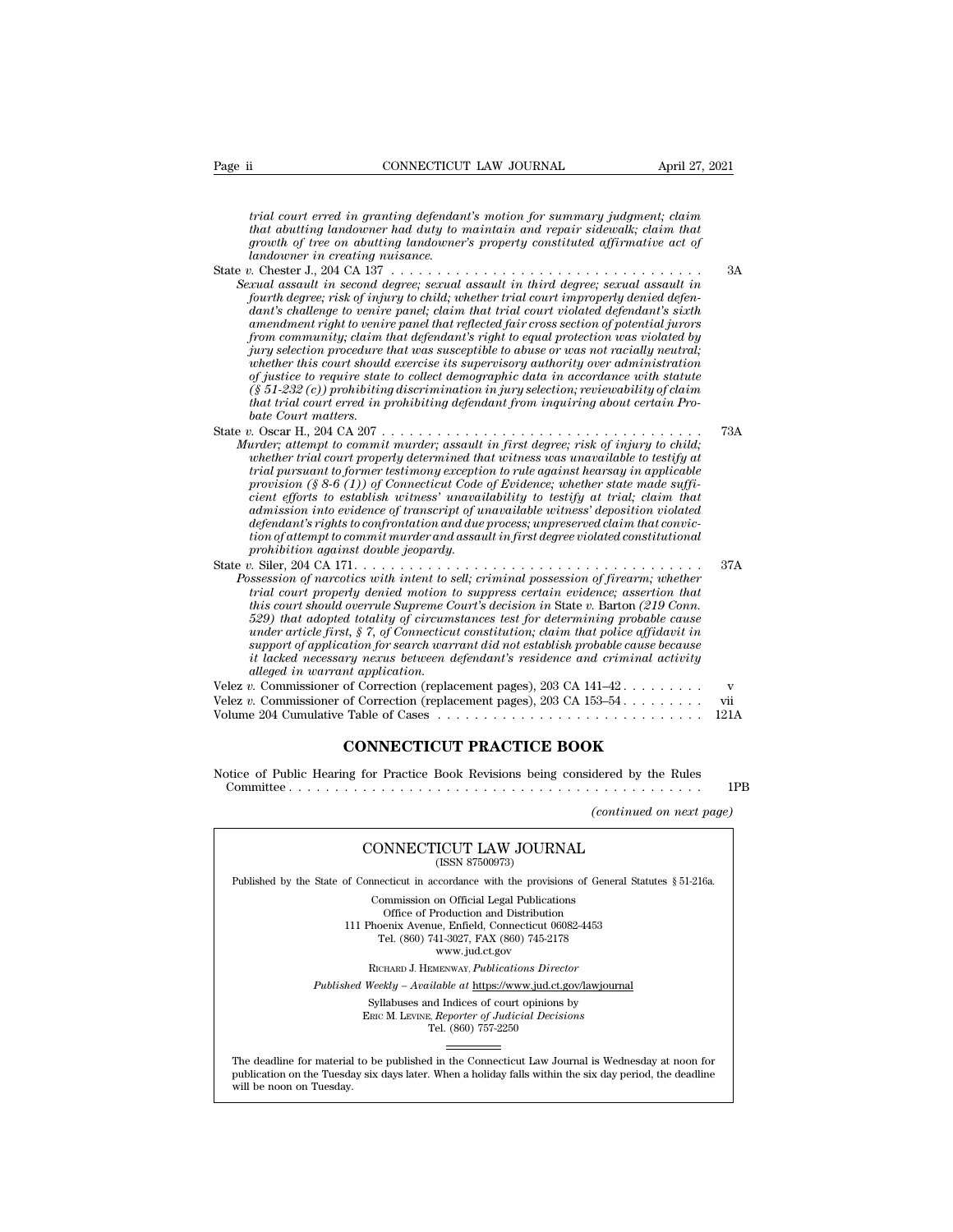*t*<br> **trial court erred in granting defendant's motion for summary judgment; claim**<br> *that abutting landowner had duty to maintain and repair sidewalk; claim that*<br> *arowth of tree on abutting landowner's monerty constitut that abutting landowner had duty to maintain and repair abutting landowner had duty to maintain and repair sidewalk; claim that* that abutting landowner had duty to maintain and repair sidewalk; claim that growth of tree *growth* of tree on abutting landowner in granting defendant's motion for summary judgment; claim that abutting landowner had duty to maintain and repair sidewalk; claim that growth of tree on abutting landowner's property Page ii **connectively** CONNECTICUT LAW JOURNAL April 27,<br> *land court erred in granting defendant's motion for summary judgment; claim*<br> *that abutting landowner had duty to maintain and repair sidewalk; claim that*<br> *grow* trial court erred in granting defendant's motion for summary judgment; claim<br>that abutting landowner had duty to maintain and repair sidewalk; claim that<br>growth of tree on abutting landowner's property constituted affirmat *Sexual court erred in granting defendant's motion for summary judgment; claim*<br>that abutting landowner had duty to maintain and repair sidewalk; claim that<br>growth of tree on abutting landowner's property constituted affir *fourt erred in granting defendant's motion for summary judgment; claim*<br>*fourth deprefies and ouner had duty to maintain and repair sidewalk; claim that*<br>*growth of tree on abutting landowner's property constituted affirm dant's chart erred in granting degendants motion for summary judgment; claim that that a databayer had daty to maintain and repair sidewalk; claim that growth of tree on abutting landowner's property constituted affirmati and worthy andover ring landower's property constituted affirmative act of andowner in creating landowner's property constituted affirmative act of andowner in creating nuisance.*<br> *andowner in creating nuisance.*<br> *a from community; claim that defendant in third degree; sexual assault in second degree; sexual assault in third degree; sexual assault in second degree; sexual assault in third degree; sexual assault in fourth degree; risk guardowner in creating nuisance.*<br> *jury selection procedure in second agree; sexual assault in third degree; sexual assault in*<br> *fourth degree; risk of injury to child; whether trial court improperly denied defendant's whether this court showledgere, sexual assault in third degree, sexual assault in*  $i$  and assault in second degree, sexual assault in third degree, sexual assault in fourth degree, risk of independent's challenge to veni *of full assault in second degree; sexual assault in third degree; sexual assault in* fourth degree; risk of injury to child; whether trial court improperly denied defendant's challenge to venire panel; claim that trial co fourth degree; risk of injury to child; whether trial court improperty denied defendant's challenge to venire panel; claim that trial court violated defendant's sixth amendment right to venire panel that reflected fair cro *thant's challenge to venire panel; claim that trial court violated defendant's sixth*<br>amendment right to venire panel that reflected fair cross section of potential jurors<br>from community; claim that defendant's right to e *benut manumity; claim t*<br>from community; claim t<br>jury selection procedure<br>whether this court should<br>of justice to require state<br>(§ 51-232 (c)) prohibiting<br>that trial court matters.<br>0. Oscar H., 204 CA 207.<br>0. Coscar H., 2 From community; ciarm that as successible to abuse or was violated by<br>
jury selection procedure that was susceptible to abuse or was not racially neutral;<br>
whether this court should exercise its supervisory authority over *Murder; his court should exercise its supproved to douase or was not ractally neutral; whether this court should exercise its supervisory authority over administration of justice to require state to collect demographic da whether this court should exercise its supervisory duthorty over duministration*<br> *of justice to require state to collect demographic data in accordance with statute*<br> *(§ 51-232 (c)) prohibiting discrimination in jury se trial pursuant to former state to collect demograppic data in accordance with statute*<br> *trial court erred in prohibiting defendant from inquiring about certain Probate Court matters.*<br> *p.* Oscar H., 204 CA 207 . . . . . *p proutouring assertmention in jury selection, reviewability of calimit irial court erred in prohibiting defendant from inquiring about certain Probate Court erred in prohibiting defendant from inquiring about certain P chat Court matters.*<br> *chate Court matters.*<br> *chate Court matters:*<br> *c*. Oscar H., 204 CA 207<br> *cores to establish wirder; assault in first degree; risk of injury to child;*<br> *cubether trial court properly determined th admission into evidence of transcript of unavailable with the sectemption in the wither, attempt to commit murder; assault in first degree; risk of injury to child; whether trial court properly determined that witness was definite* the commit murder; assault in first degree; risk of injury to child, the there is right whether trial court properly determined that witness was unavailable to testify at trial pursuant to former testimony excep *tion of attempt to commit murder; assault in first degree; risk of injury to child; whether trial court properly determined that witness was unavailable to testify at trial pursuant to former testimony exception to rule a probable trial court properly determined that witness was unavailable to testify at trial pursuant to former testimony exception to rule against hearsay in applicable provision (§ 8-6 (1)) of Connecticut Code of Evidence;* Fram pursuant to former user assuming exception to rate against nearsty in approache<br>provision (§ 8-6 (1)) of Connecticut Code of Evidence; whether state made suffi-<br>cient efforts to establish witness' unavailability to te *Protssion (§ 5-0 (1)) of onectional Count informal content state minds sighter cancel in that*<br> *Possession into exidence of transcript of unavailability to testify at trial; claim that*<br> *damission into evidence of trans trem* egions to establish with these undoculating to testigg at rrial; clarin that<br>admission into evidence of transcript of unavailable withese deposition violated<br>defendant's rights to confrontation and due process; unpr *the fendant's rights to confrontation and due process; unpreserved claim that conviction of attempt to compromation and assault in first degree violated constitutional prohibition against double jeopardy.<br>
<i>x*. Siler, 204 *defendant s*rights to confrontation and are process; unpreserved claim that conviction of attempt to commit murder and assault in first degree violated constitutional<br>prohibition against double jeopardy.<br>  $\alpha$  Siler, 204 *under article first, § 7, of Connecticut constitution; claim that police affidavit in support of application for search warrant did not establish probable cause because it lacked necessary nexus between defendant's residence and criminal activity allegency of narcotics with intent to s*<br>trial court properly denied motion to<br>this court should overvile Supreme Co<br>field in data dopted totality of circums<br>under article first, § 7, of Connecticu<br>support of application via court property aented morton to suppress certain entertains contributed.<br>this court should overvale Supreme Court's decision in State v. Barton (219 Com.<br>529) that adopted totality of circumstances test for determining Volume 204 Cumulative Table of Cases . . . . . . . . . . . . . . . . . . . . . . . . . . . . . 121A **CONNECTICUT PRACTICE BOOK** Notice of Public Hearing for Practice Book Revisions being considered by the Rules Committee . . . . . . . . . . . . . . . . . . . . . . . . . . . . . . . . . . . . . . . . . . . . . 1PB *(continued on next page)*

|                                                                                                                                                                                                                                          | (continued on next page) |
|------------------------------------------------------------------------------------------------------------------------------------------------------------------------------------------------------------------------------------------|--------------------------|
| CONNECTICUT LAW JOURNAL<br>(ISSN 87500973)                                                                                                                                                                                               |                          |
| Published by the State of Connecticut in accordance with the provisions of General Statutes § 51-216a.                                                                                                                                   |                          |
| Commission on Official Legal Publications<br>Office of Production and Distribution<br>111 Phoenix Avenue, Enfield, Connecticut 06082-4453<br>Tel. (860) 741-3027, FAX (860) 745-2178<br>www.jud.ct.gov                                   |                          |
| RICHARD J. HEMENWAY, Publications Director                                                                                                                                                                                               |                          |
| Published Weekly - Available at https://www.jud.ct.gov/lawjournal                                                                                                                                                                        |                          |
| Syllabuses and Indices of court opinions by<br>ERIC M. LEVINE, Reporter of Judicial Decisions<br>Tel. (860) 757-2250                                                                                                                     |                          |
|                                                                                                                                                                                                                                          |                          |
| The deadline for material to be published in the Connecticut Law Journal is Wednesday at noon for<br>publication on the Tuesday six days later. When a holiday falls within the six day period, the deadline<br>will be noon on Tuesday. |                          |